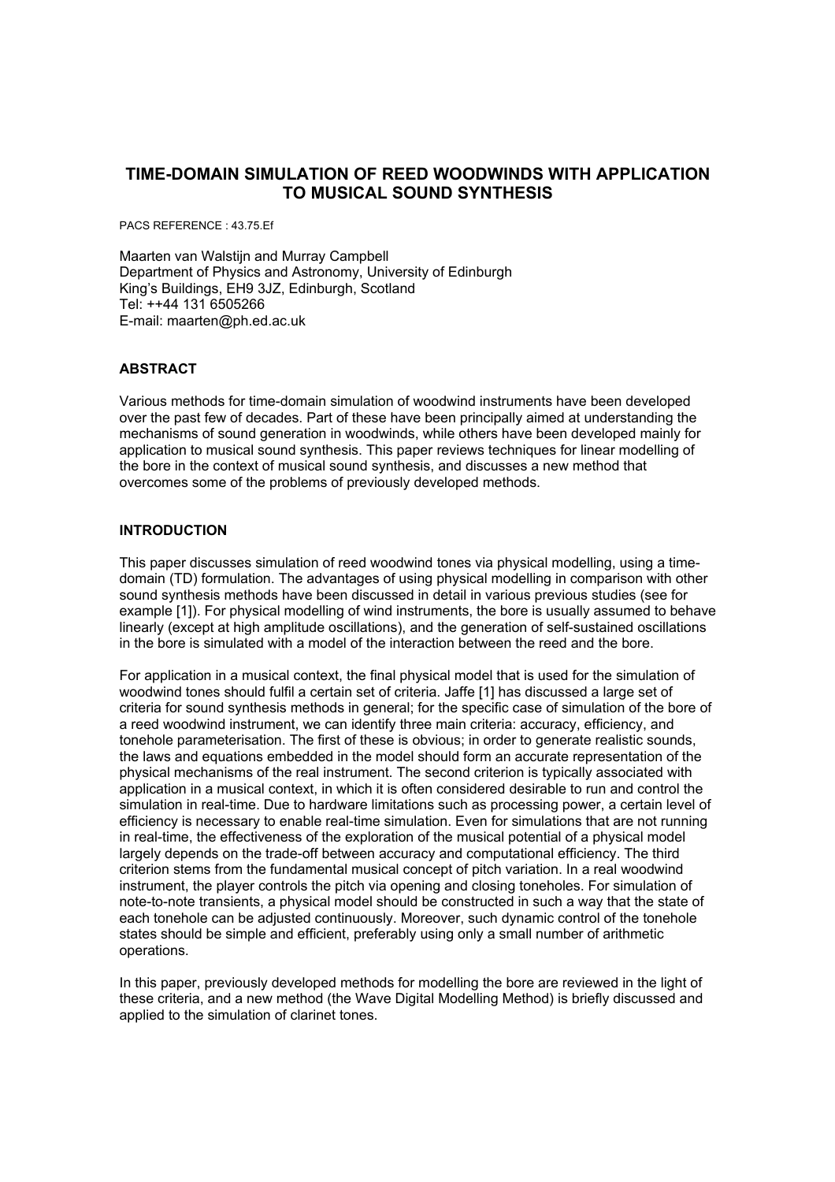# **TIME-DOMAIN SIMULATION OF REED WOODWINDS WITH APPLICATION TO MUSICAL SOUND SYNTHESIS**

PACS REFERENCE : 43.75.Ef

Maarten van Walstijn and Murray Campbell Department of Physics and Astronomy, University of Edinburgh King's Buildings, EH9 3JZ, Edinburgh, Scotland Tel: ++44 131 6505266 E-mail: maarten@ph.ed.ac.uk

# **ABSTRACT**

Various methods for time-domain simulation of woodwind instruments have been developed over the past few of decades. Part of these have been principally aimed at understanding the mechanisms of sound generation in woodwinds, while others have been developed mainly for application to musical sound synthesis. This paper reviews techniques for linear modelling of the bore in the context of musical sound synthesis, and discusses a new method that overcomes some of the problems of previously developed methods.

# **INTRODUCTION**

This paper discusses simulation of reed woodwind tones via physical modelling, using a timedomain (TD) formulation. The advantages of using physical modelling in comparison with other sound synthesis methods have been discussed in detail in various previous studies (see for example [1]). For physical modelling of wind instruments, the bore is usually assumed to behave linearly (except at high amplitude oscillations), and the generation of self-sustained oscillations in the bore is simulated with a model of the interaction between the reed and the bore.

For application in a musical context, the final physical model that is used for the simulation of woodwind tones should fulfil a certain set of criteria. Jaffe [1] has discussed a large set of criteria for sound synthesis methods in general; for the specific case of simulation of the bore of a reed woodwind instrument, we can identify three main criteria: accuracy, efficiency, and tonehole parameterisation. The first of these is obvious; in order to generate realistic sounds, the laws and equations embedded in the model should form an accurate representation of the physical mechanisms of the real instrument. The second criterion is typically associated with application in a musical context, in which it is often considered desirable to run and control the simulation in real-time. Due to hardware limitations such as processing power, a certain level of efficiency is necessary to enable real-time simulation. Even for simulations that are not running in real-time, the effectiveness of the exploration of the musical potential of a physical model largely depends on the trade-off between accuracy and computational efficiency. The third criterion stems from the fundamental musical concept of pitch variation. In a real woodwind instrument, the player controls the pitch via opening and closing toneholes. For simulation of note-to-note transients, a physical model should be constructed in such a way that the state of each tonehole can be adjusted continuously. Moreover, such dynamic control of the tonehole states should be simple and efficient, preferably using only a small number of arithmetic operations.

In this paper, previously developed methods for modelling the bore are reviewed in the light of these criteria, and a new method (the Wave Digital Modelling Method) is briefly discussed and applied to the simulation of clarinet tones.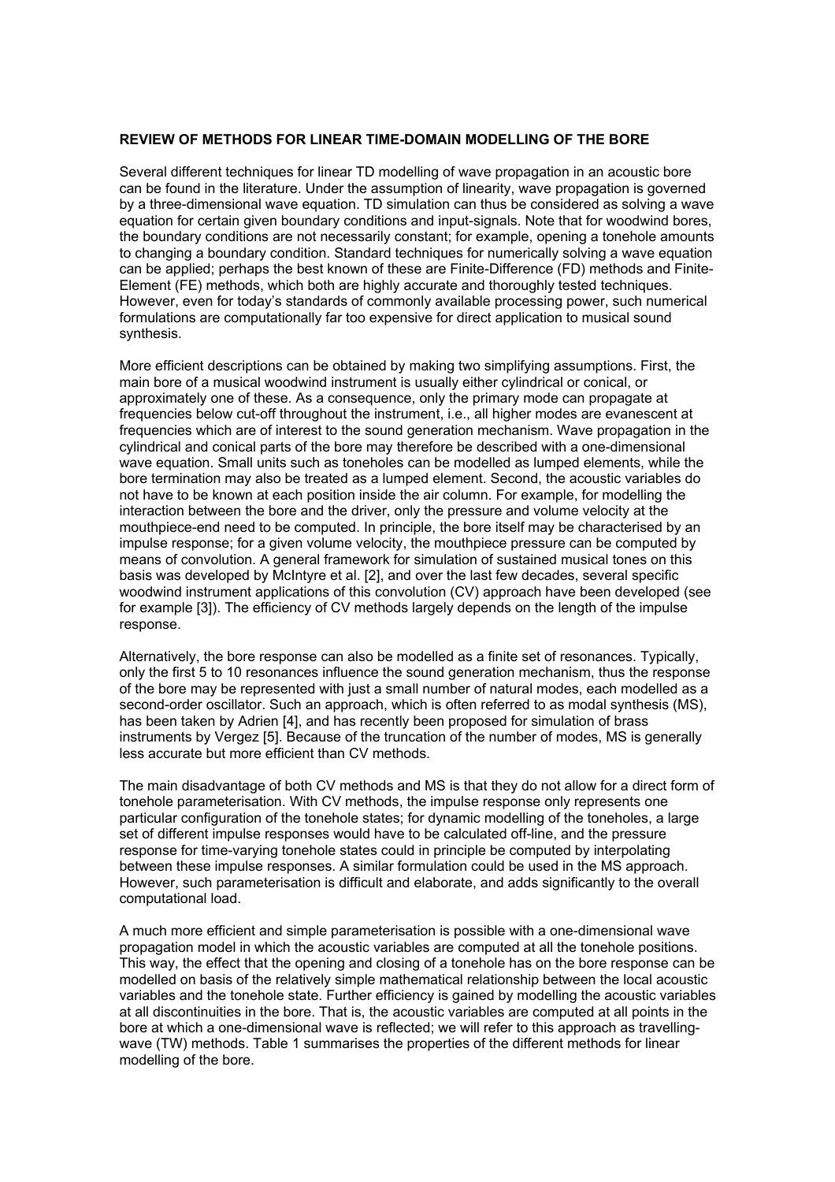### **REVIEW OF METHODS FOR LINEAR TIME-DOMAIN MODELLING OF THE BORE**

Several different techniques for linear TD modelling of wave propagation in an acoustic bore can be found in the literature. Under the assumption of linearity, wave propagation is governed by a three-dimensional wave equation. TD simulation can thus be considered as solving a wave equation for certain given boundary conditions and input-signals. Note that for woodwind bores, the boundary conditions are not necessarily constant; for example, opening a tonehole amounts to changing a boundary condition. Standard techniques for numerically solving a wave equation can be applied; perhaps the best known of these are Finite-Difference (FD) methods and Finite-Element (FE) methods, which both are highly accurate and thoroughly tested techniques. However, even for today's standards of commonly available processing power, such numerical formulations are computationally far too expensive for direct application to musical sound synthesis.

More efficient descriptions can be obtained by making two simplifying assumptions. First, the main bore of a musical woodwind instrument is usually either cylindrical or conical, or approximately one of these. As a consequence, only the primary mode can propagate at frequencies below cut-off throughout the instrument, i.e., all higher modes are evanescent at frequencies which are of interest to the sound generation mechanism. Wave propagation in the cylindrical and conical parts of the bore may therefore be described with a one-dimensional wave equation. Small units such as toneholes can be modelled as lumped elements, while the bore termination may also be treated as a lumped element. Second, the acoustic variables do not have to be known at each position inside the air column. For example, for modelling the interaction between the bore and the driver, only the pressure and volume velocity at the mouthpiece-end need to be computed. In principle, the bore itself may be characterised by an impulse response; for a given volume velocity, the mouthpiece pressure can be computed by means of convolution. A general framework for simulation of sustained musical tones on this basis was developed by McIntyre et al. [2], and over the last few decades, several specific woodwind instrument applications of this convolution (CV) approach have been developed (see for example [3]). The efficiency of CV methods largely depends on the length of the impulse response.

Alternatively, the bore response can also be modelled as a finite set of resonances. Typically, only the first 5 to 10 resonances influence the sound generation mechanism, thus the response of the bore may be represented with just a small number of natural modes, each modelled as a second-order oscillator. Such an approach, which is often referred to as modal synthesis (MS), has been taken by Adrien [4], and has recently been proposed for simulation of brass instruments by Vergez [5]. Because of the truncation of the number of modes, MS is generally less accurate but more efficient than CV methods.

The main disadvantage of both CV methods and MS is that they do not allow for a direct form of tonehole parameterisation. With CV methods, the impulse response only represents one particular configuration of the tonehole states; for dynamic modelling of the toneholes, a large set of different impulse responses would have to be calculated off-line, and the pressure response for time-varying tonehole states could in principle be computed by interpolating between these impulse responses. A similar formulation could be used in the MS approach. However, such parameterisation is difficult and elaborate, and adds significantly to the overall computational load.

A much more efficient and simple parameterisation is possible with a one-dimensional wave propagation model in which the acoustic variables are computed at all the tonehole positions. This way, the effect that the opening and closing of a tonehole has on the bore response can be modelled on basis of the relatively simple mathematical relationship between the local acoustic variables and the tonehole state. Further efficiency is gained by modelling the acoustic variables at all discontinuities in the bore. That is, the acoustic variables are computed at all points in the bore at which a one-dimensional wave is reflected; we will refer to this approach as travellingwave (TW) methods. Table 1 summarises the properties of the different methods for linear modelling of the bore.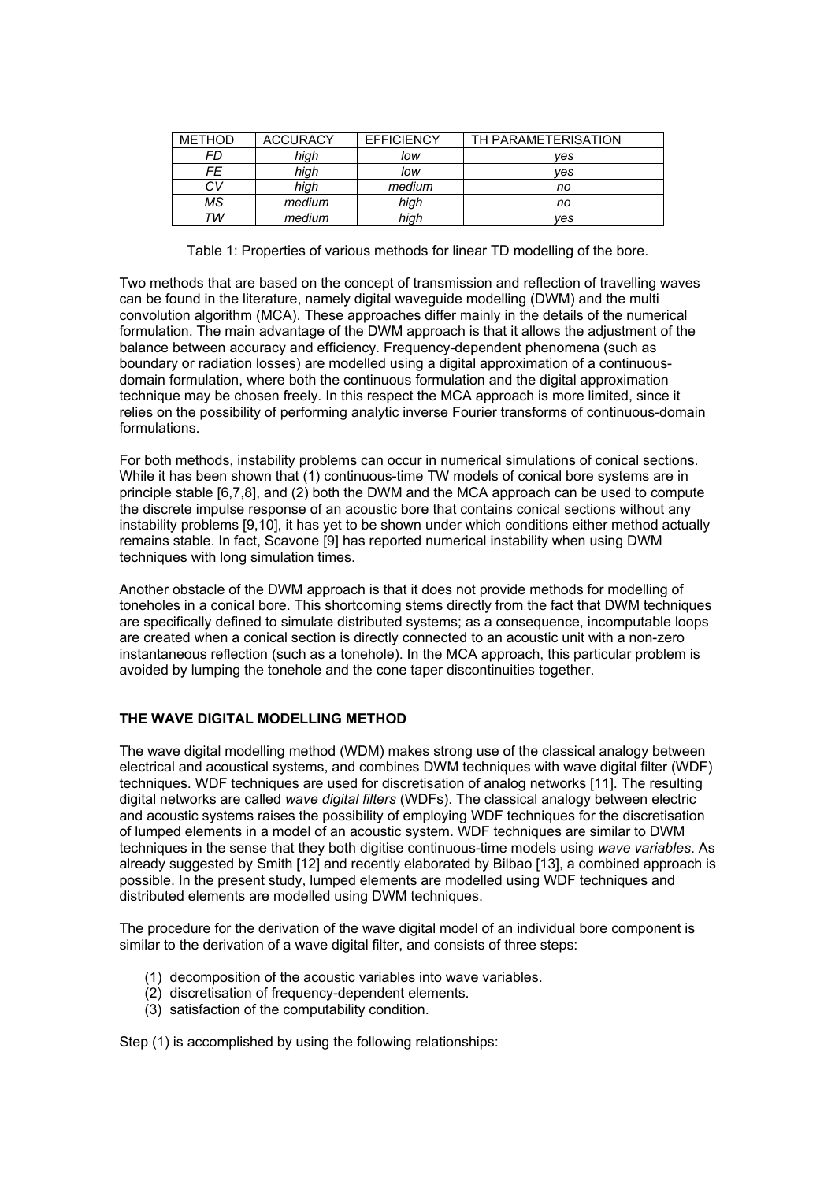| <b>METHOD</b> | <b>ACCURACY</b> | <b>EFFICIENCY</b> | TH PARAMETERISATION |
|---------------|-----------------|-------------------|---------------------|
| FD            | high            | low               | ves                 |
| FE            | high            | low               | ves                 |
| СV            | high            | medium            | no                  |
| МS            | medium          | high              | no                  |
| ТW            | medium          | high              | yes                 |

Table 1: Properties of various methods for linear TD modelling of the bore.

Two methods that are based on the concept of transmission and reflection of travelling waves can be found in the literature, namely digital waveguide modelling (DWM) and the multi convolution algorithm (MCA). These approaches differ mainly in the details of the numerical formulation. The main advantage of the DWM approach is that it allows the adjustment of the balance between accuracy and efficiency. Frequency-dependent phenomena (such as boundary or radiation losses) are modelled using a digital approximation of a continuousdomain formulation, where both the continuous formulation and the digital approximation technique may be chosen freely. In this respect the MCA approach is more limited, since it relies on the possibility of performing analytic inverse Fourier transforms of continuous-domain formulations.

For both methods, instability problems can occur in numerical simulations of conical sections. While it has been shown that (1) continuous-time TW models of conical bore systems are in principle stable [6,7,8], and (2) both the DWM and the MCA approach can be used to compute the discrete impulse response of an acoustic bore that contains conical sections without any instability problems [9,10], it has yet to be shown under which conditions either method actually remains stable. In fact, Scavone [9] has reported numerical instability when using DWM techniques with long simulation times.

Another obstacle of the DWM approach is that it does not provide methods for modelling of toneholes in a conical bore. This shortcoming stems directly from the fact that DWM techniques are specifically defined to simulate distributed systems; as a consequence, incomputable loops are created when a conical section is directly connected to an acoustic unit with a non-zero instantaneous reflection (such as a tonehole). In the MCA approach, this particular problem is avoided by lumping the tonehole and the cone taper discontinuities together.

# **THE WAVE DIGITAL MODELLING METHOD**

The wave digital modelling method (WDM) makes strong use of the classical analogy between electrical and acoustical systems, and combines DWM techniques with wave digital filter (WDF) techniques. WDF techniques are used for discretisation of analog networks [11]. The resulting digital networks are called *wave digital filters* (WDFs). The classical analogy between electric and acoustic systems raises the possibility of employing WDF techniques for the discretisation of lumped elements in a model of an acoustic system. WDF techniques are similar to DWM techniques in the sense that they both digitise continuous-time models using *wave variables*. As already suggested by Smith [12] and recently elaborated by Bilbao [13], a combined approach is possible. In the present study, lumped elements are modelled using WDF techniques and distributed elements are modelled using DWM techniques.

The procedure for the derivation of the wave digital model of an individual bore component is similar to the derivation of a wave digital filter, and consists of three steps:

- (1) decomposition of the acoustic variables into wave variables.
- (2) discretisation of frequency-dependent elements.
- (3) satisfaction of the computability condition.

Step (1) is accomplished by using the following relationships: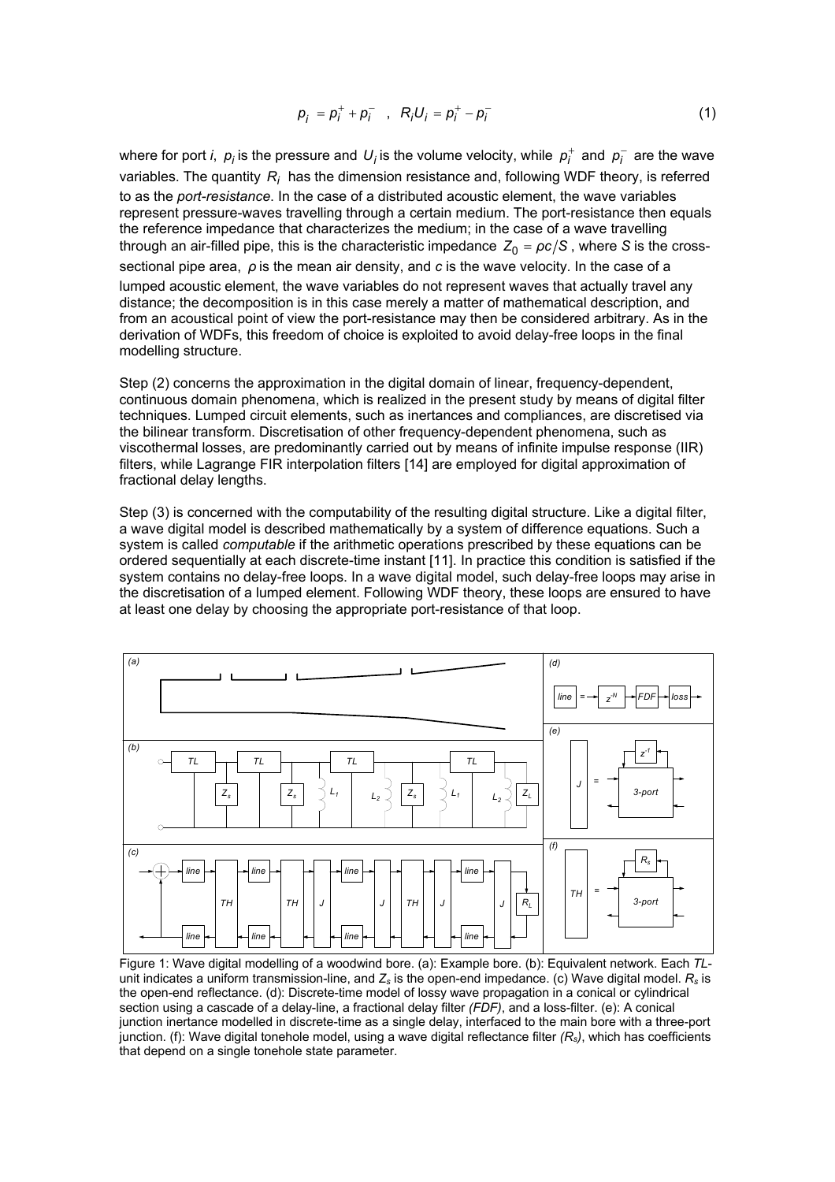$$
p_{j} = p_{i}^{+} + p_{i}^{-} , R_{j}U_{j} = p_{i}^{+} - p_{i}^{-} \qquad (1)
$$

where for port *i*,  $p_i$  is the pressure and  $U_i$  is the volume velocity, while  $p_i^+$  and  $p_i^-$  are the wave variables. The quantity  $R_i$  has the dimension resistance and, following WDF theory, is referred to as the *port-resistance*. In the case of a distributed acoustic element, the wave variables represent pressure-waves travelling through a certain medium. The port-resistance then equals the reference impedance that characterizes the medium; in the case of a wave travelling through an air-filled pipe, this is the characteristic impedance  $\,Z_0 = \rho c / S$  , where  $S$  is the crosssectional pipe area, *ρ* is the mean air density, and *c* is the wave velocity. In the case of a lumped acoustic element, the wave variables do not represent waves that actually travel any distance; the decomposition is in this case merely a matter of mathematical description, and from an acoustical point of view the port-resistance may then be considered arbitrary. As in the derivation of WDFs, this freedom of choice is exploited to avoid delay-free loops in the final modelling structure.

Step (2) concerns the approximation in the digital domain of linear, frequency-dependent, continuous domain phenomena, which is realized in the present study by means of digital filter techniques. Lumped circuit elements, such as inertances and compliances, are discretised via the bilinear transform. Discretisation of other frequency-dependent phenomena, such as viscothermal losses, are predominantly carried out by means of infinite impulse response (IIR) filters, while Lagrange FIR interpolation filters [14] are employed for digital approximation of fractional delay lengths.

Step (3) is concerned with the computability of the resulting digital structure. Like a digital filter, a wave digital model is described mathematically by a system of difference equations. Such a system is called *computable* if the arithmetic operations prescribed by these equations can be ordered sequentially at each discrete-time instant [11]. In practice this condition is satisfied if the system contains no delay-free loops. In a wave digital model, such delay-free loops may arise in the discretisation of a lumped element. Following WDF theory, these loops are ensured to have at least one delay by choosing the appropriate port-resistance of that loop.



Figure 1: Wave digital modelling of a woodwind bore. (a): Example bore. (b): Equivalent network. Each *TL*unit indicates a uniform transmission-line, and *Zs* is the open-end impedance. (c) Wave digital model. *Rs* is the open-end reflectance. (d): Discrete-time model of lossy wave propagation in a conical or cylindrical section using a cascade of a delay-line, a fractional delay filter *(FDF)*, and a loss-filter. (e): A conical junction inertance modelled in discrete-time as a single delay, interfaced to the main bore with a three-port junction. (f): Wave digital tonehole model, using a wave digital reflectance filter *(Rs)*, which has coefficients that depend on a single tonehole state parameter.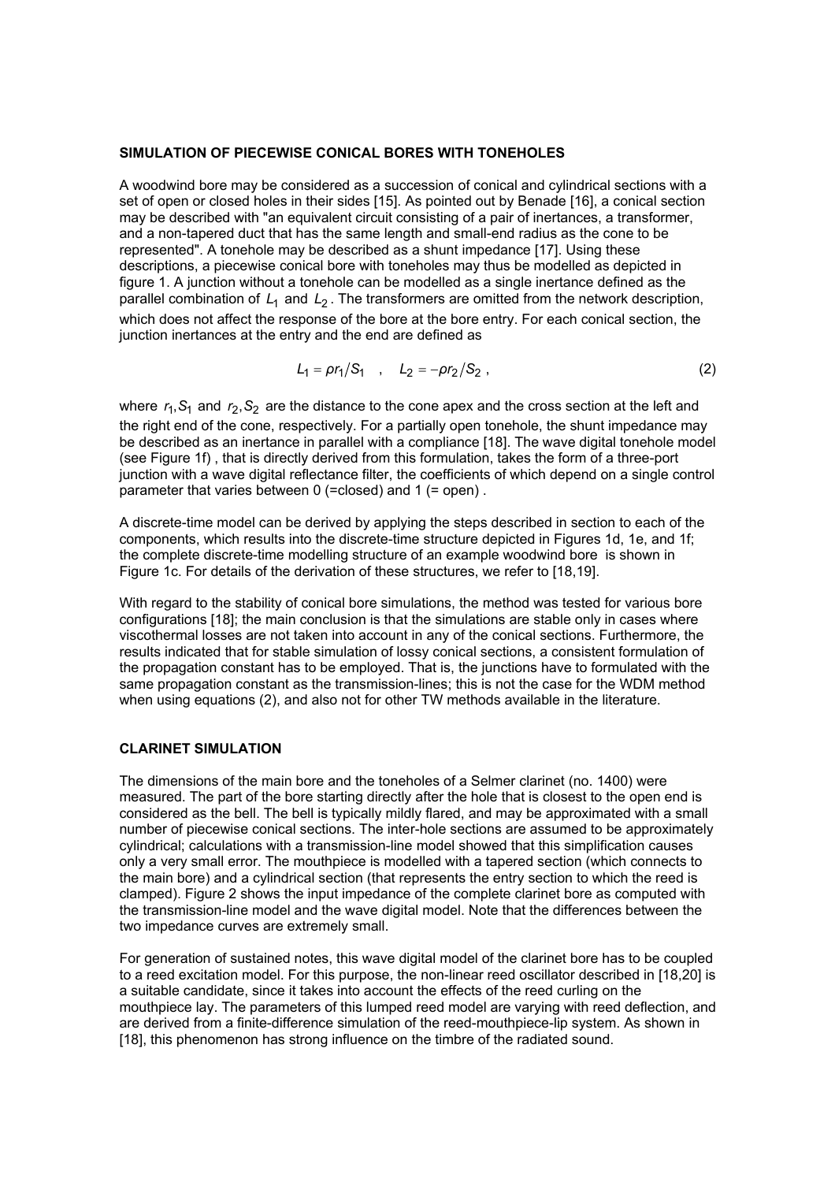#### **SIMULATION OF PIECEWISE CONICAL BORES WITH TONEHOLES**

A woodwind bore may be considered as a succession of conical and cylindrical sections with a set of open or closed holes in their sides [15]. As pointed out by Benade [16], a conical section may be described with "an equivalent circuit consisting of a pair of inertances, a transformer, and a non-tapered duct that has the same length and small-end radius as the cone to be represented". A tonehole may be described as a shunt impedance [17]. Using these descriptions, a piecewise conical bore with toneholes may thus be modelled as depicted in figure 1. A junction without a tonehole can be modelled as a single inertance defined as the parallel combination of L<sub>1</sub> and L<sub>2</sub>. The transformers are omitted from the network description, which does not affect the response of the bore at the bore entry. For each conical section, the junction inertances at the entry and the end are defined as

$$
L_1 = \rho r_1 / S_1 \quad , \quad L_2 = -\rho r_2 / S_2 \; , \tag{2}
$$

where  $r_1$ ,  $S_1$  and  $r_2$ ,  $S_2$  are the distance to the cone apex and the cross section at the left and the right end of the cone, respectively. For a partially open tonehole, the shunt impedance may be described as an inertance in parallel with a compliance [18]. The wave digital tonehole model (see Figure 1f) , that is directly derived from this formulation, takes the form of a three-port junction with a wave digital reflectance filter, the coefficients of which depend on a single control parameter that varies between 0 (=closed) and 1 (= open) .

A discrete-time model can be derived by applying the steps described in section to each of the components, which results into the discrete-time structure depicted in Figures 1d, 1e, and 1f; the complete discrete-time modelling structure of an example woodwind bore is shown in Figure 1c. For details of the derivation of these structures, we refer to [18,19].

With regard to the stability of conical bore simulations, the method was tested for various bore configurations [18]; the main conclusion is that the simulations are stable only in cases where viscothermal losses are not taken into account in any of the conical sections. Furthermore, the results indicated that for stable simulation of lossy conical sections, a consistent formulation of the propagation constant has to be employed. That is, the junctions have to formulated with the same propagation constant as the transmission-lines; this is not the case for the WDM method when using equations (2), and also not for other TW methods available in the literature.

## **CLARINET SIMULATION**

The dimensions of the main bore and the toneholes of a Selmer clarinet (no. 1400) were measured. The part of the bore starting directly after the hole that is closest to the open end is considered as the bell. The bell is typically mildly flared, and may be approximated with a small number of piecewise conical sections. The inter-hole sections are assumed to be approximately cylindrical; calculations with a transmission-line model showed that this simplification causes only a very small error. The mouthpiece is modelled with a tapered section (which connects to the main bore) and a cylindrical section (that represents the entry section to which the reed is clamped). Figure 2 shows the input impedance of the complete clarinet bore as computed with the transmission-line model and the wave digital model. Note that the differences between the two impedance curves are extremely small.

For generation of sustained notes, this wave digital model of the clarinet bore has to be coupled to a reed excitation model. For this purpose, the non-linear reed oscillator described in [18,20] is a suitable candidate, since it takes into account the effects of the reed curling on the mouthpiece lay. The parameters of this lumped reed model are varying with reed deflection, and are derived from a finite-difference simulation of the reed-mouthpiece-lip system. As shown in [18], this phenomenon has strong influence on the timbre of the radiated sound.